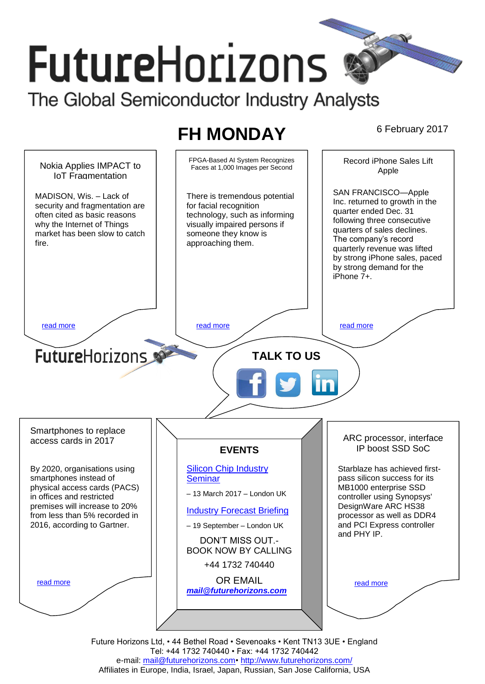# **FutureHorizons** The Global Semiconductor Industry Analysts

# **FH MONDAY** 6 February 2017



Future Horizons Ltd, • 44 Bethel Road • Sevenoaks • Kent TN13 3UE • England Tel: +44 1732 740440 • Fax: +44 1732 740442 e-mail: mail@futurehorizons.com• http://www.futurehorizons.com/ Affiliates in Europe, India, Israel, Japan, Russian, San Jose California, USA